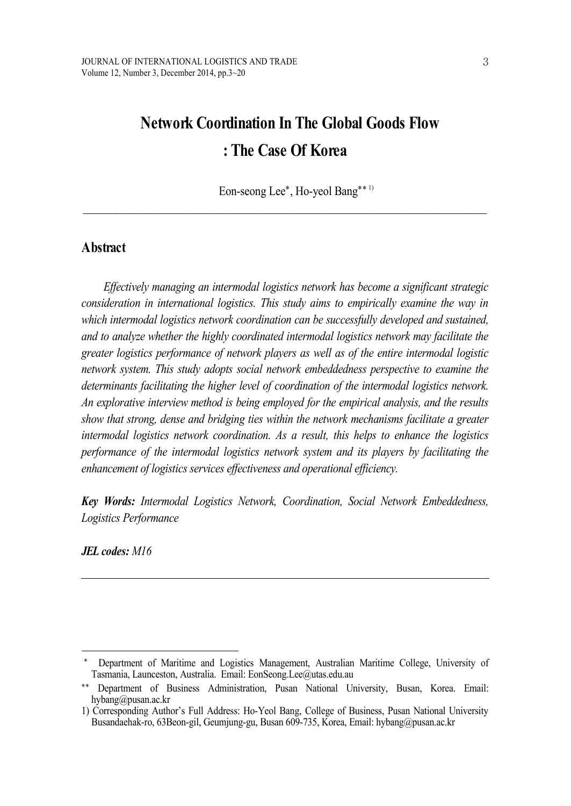# **Network Coordination In The Global Goods Flow : The Case Of Korea**

Eon-seong Lee<sup>\*</sup>, Ho-yeol Bang<sup>\*\* 1)</sup>

 $\_$  , and the state of the state of the state of the state of the state of the state of the state of the state of the state of the state of the state of the state of the state of the state of the state of the state of the

# **Abstract**

*Ef ectively managing an intermodal logistics network has become a significant strategic consideration in international logistics. This study aims to empirically examine the way in which intermodal logistics network coordination can be successfully developed and sustained, and to analyze whether the highly coordinated intermodal logistics network may facilitate the greater logistics performance of network players as well as of the entire intermodal logistic network system. This study adopts social network embeddedness perspective to examine the determinants facilitating the higher level of coordination of the intermodal logistics network. An explorative interview method is being employed for the empirical analysis, and the results show that strong, dense and bridging ties within the network mechanisms facilitate a greater intermodal logistics network coordination. As a result, this helps to enhance the logistics performance of the intermodal logistics network system and its players by facilitating the enhancement of logistics services ef ectiveness and operational ef iciency.*

*Key Words: Intermodal Logistics Network, Coordination, Social Network Embeddedness, Logistics Performance*

*JEL codes: M16*

Department of Maritime and Logistics Management, Australian Maritime College, University of Tasmania, Launceston, Australia. Email: EonSeong.Lee@utas.edu.au

<sup>\*\*</sup> Department of Business Administration, Pusan National University, Busan, Korea. Email: hybang@pusan.ac.kr

<sup>1)</sup> Corresponding Author's Full Address: Ho-Yeol Bang, College of Business, Pusan National University Busandaehak-ro, 63Beon-gil, Geumjung-gu, Busan 609-735, Korea, Email: hybang@pusan.ac.kr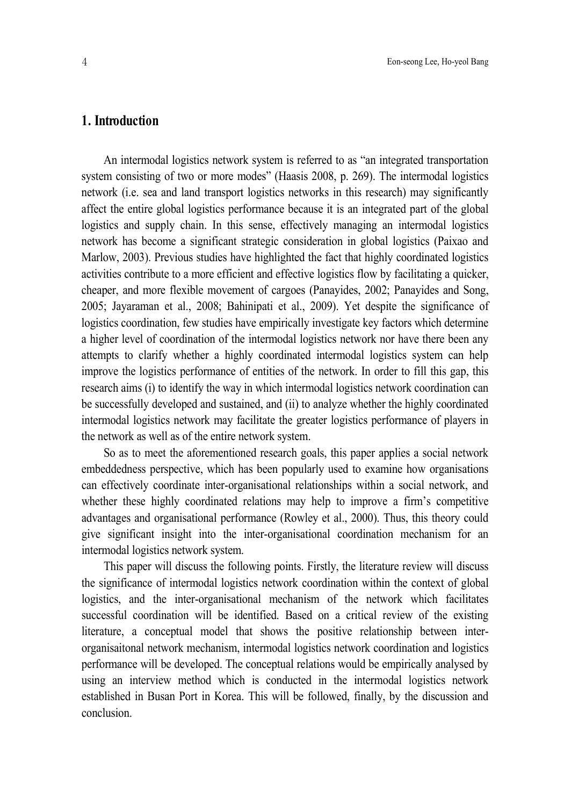# **1. Introduction**

An intermodal logistics network system is referred to as "an integrated transportation system consisting of two or more modes" (Haasis 2008, p. 269). The intermodal logistics network (i.e. sea and land transport logistics networks in this research) may significantly affect the entire global logistics performance because it is an integrated part of the global logistics and supply chain. In this sense, effectively managing an intermodal logistics network has become a significant strategic consideration in global logistics (Paixao and Marlow, 2003). Previous studies have highlighted the fact that highly coordinated logistics activities contribute to a more efficient and effective logistics flow by facilitating a quicker, cheaper, and more flexible movement of cargoes (Panayides, 2002; Panayides and Song, 2005; Jayaraman et al., 2008; Bahinipati et al., 2009). Yet despite the significance of logistics coordination, few studies have empirically investigate key factors which determine a higher level of coordination of the intermodal logistics network nor have there been any attempts to clarify whether a highly coordinated intermodal logistics system can help improve the logistics performance of entities of the network. In order to fill this gap, this research aims (i) to identify the way in which intermodal logistics network coordination can be successfully developed and sustained, and (ii) to analyze whether the highly coordinated intermodal logistics network may facilitate the greater logistics performance of players in the network as well as of the entire network system.

So as to meet the aforementioned research goals, this paper applies a social network embeddedness perspective, which has been popularly used to examine how organisations can effectively coordinate inter-organisational relationships within a social network, and whether these highly coordinated relations may help to improve a firm's competitive advantages and organisational performance (Rowley et al., 2000). Thus, this theory could give significant insight into the inter-organisational coordination mechanism for an intermodal logistics network system.

This paper will discuss the following points. Firstly, the literature review will discuss the significance of intermodal logistics network coordination within the context of global logistics, and the inter-organisational mechanism of the network which facilitates successful coordination will be identified. Based on a critical review of the existing literature, a conceptual model that shows the positive relationship between interorganisaitonal network mechanism, intermodal logistics network coordination and logistics performance will be developed. The conceptual relations would be empirically analysed by using an interview method which is conducted in the intermodal logistics network established in Busan Port in Korea. This will be followed, finally, by the discussion and conclusion.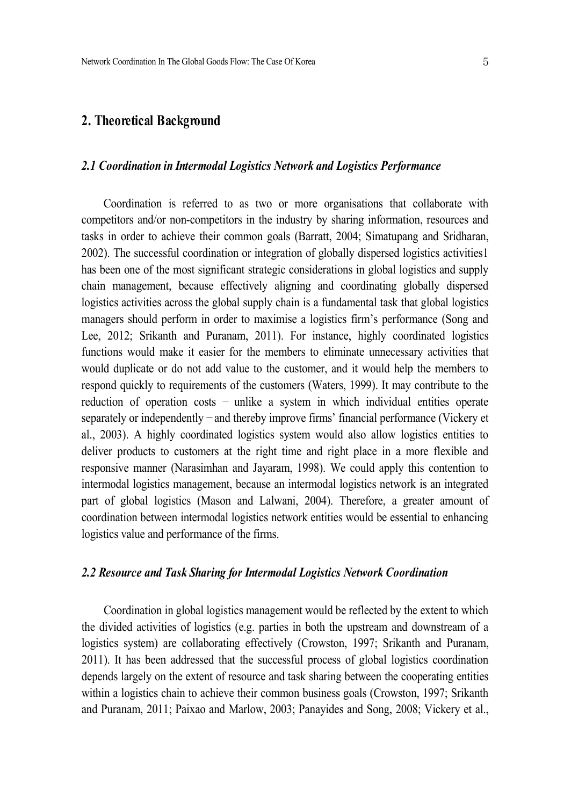## **2. Theoretical Background**

## *2.1 Coordination in Intermodal Logistics Network and Logistics Performance*

Coordination is referred to as two or more organisations that collaborate with competitors and/or non-competitors in the industry by sharing information, resources and tasks in order to achieve their common goals (Barratt, 2004; Simatupang and Sridharan, 2002). The successful coordination or integration of globally dispersed logistics activities1 has been one of the most significant strategic considerations in global logistics and supply chain management, because effectively aligning and coordinating globally dispersed logistics activities across the global supply chain is a fundamental task that global logistics managers should perform in order to maximise a logistics firm's performance (Song and Lee, 2012; Srikanth and Puranam, 2011). For instance, highly coordinated logistics functions would make it easier for the members to eliminate unnecessary activities that would duplicate or do not add value to the customer, and it would help the members to respond quickly to requirements of the customers (Waters, 1999). It may contribute to the reduction of operation costs – unlike a system in which individual entities operate separately or independently – and thereby improve firms' financial performance (Vickery et al., 2003). A highly coordinated logistics system would also allow logistics entities to deliver products to customers at the right time and right place in a more flexible and responsive manner (Narasimhan and Jayaram, 1998). We could apply this contention to intermodal logistics management, because an intermodal logistics network is an integrated part of global logistics (Mason and Lalwani, 2004). Therefore, a greater amount of coordination between intermodal logistics network entities would be essential to enhancing logistics value and performance of the firms.

#### *2.2 Resource and Task Sharing for Intermodal Logistics Network Coordination*

Coordination in global logistics management would be reflected by the extent to which the divided activities of logistics (e.g. parties in both the upstream and downstream of a logistics system) are collaborating effectively (Crowston, 1997; Srikanth and Puranam, 2011). It has been addressed that the successful process of global logistics coordination depends largely on the extent of resource and task sharing between the cooperating entities within a logistics chain to achieve their common business goals (Crowston, 1997; Srikanth and Puranam, 2011; Paixao and Marlow, 2003; Panayides and Song, 2008; Vickery et al.,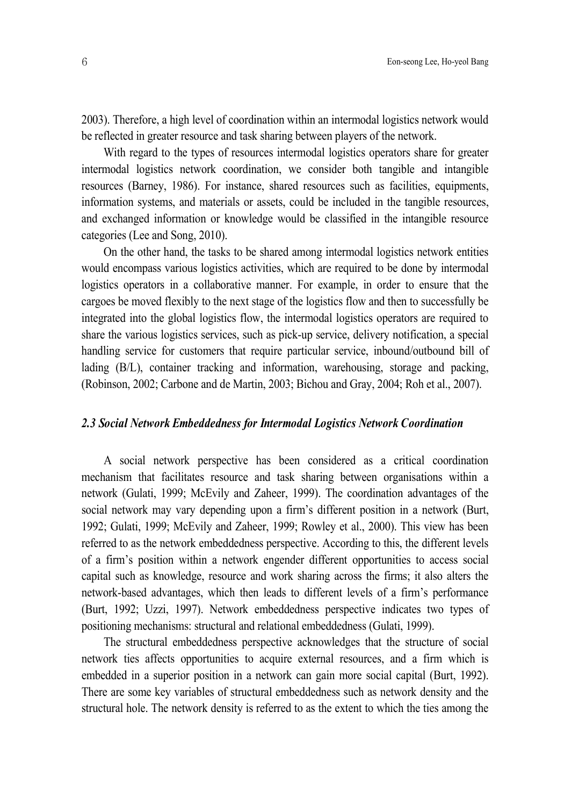2003). Therefore, a high level of coordination within an intermodal logistics network would be reflected in greater resource and task sharing between players of the network.

With regard to the types of resources intermodal logistics operators share for greater intermodal logistics network coordination, we consider both tangible and intangible resources (Barney, 1986). For instance, shared resources such as facilities, equipments, information systems, and materials or assets, could be included in the tangible resources, and exchanged information or knowledge would be classified in the intangible resource categories (Lee and Song, 2010).

On the other hand, the tasks to be shared among intermodal logistics network entities would encompass various logistics activities, which are required to be done by intermodal logistics operators in a collaborative manner. For example, in order to ensure that the cargoes be moved flexibly to the next stage of the logistics flow and then to successfully be integrated into the global logistics flow, the intermodal logistics operators are required to share the various logistics services, such as pick-up service, delivery notification, a special handling service for customers that require particular service, inbound/outbound bill of lading (B/L), container tracking and information, warehousing, storage and packing, (Robinson, 2002; Carbone and de Martin, 2003; Bichou and Gray, 2004; Roh et al., 2007).

## *2.3 Social Network Embeddedness for Intermodal Logistics Network Coordination*

A social network perspective has been considered as a critical coordination mechanism that facilitates resource and task sharing between organisations within a network (Gulati, 1999; McEvily and Zaheer, 1999). The coordination advantages of the social network may vary depending upon a firm's different position in a network (Burt, 1992; Gulati, 1999; McEvily and Zaheer, 1999; Rowley et al., 2000). This view has been referred to as the network embeddedness perspective. According to this, the different levels of a firm's position within a network engender different opportunities to access social capital such as knowledge, resource and work sharing across the firms; it also alters the network-based advantages, which then leads to different levels of a firm's performance (Burt, 1992; Uzzi, 1997). Network embeddedness perspective indicates two types of positioning mechanisms: structural and relational embeddedness (Gulati, 1999).

The structural embeddedness perspective acknowledges that the structure of social network ties affects opportunities to acquire external resources, and a firm which is embedded in a superior position in a network can gain more social capital (Burt, 1992). There are some key variables of structural embeddedness such as network density and the structural hole. The network density is referred to as the extent to which the ties among the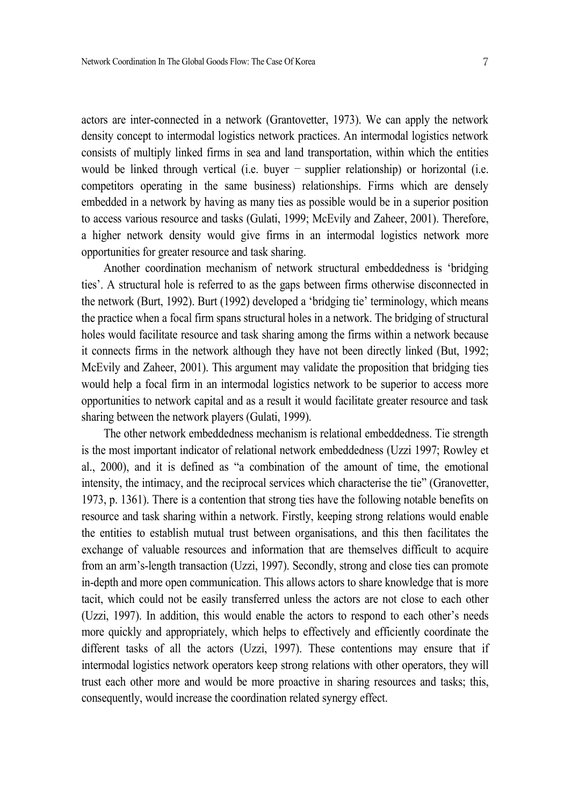actors are inter-connected in a network (Grantovetter, 1973). We can apply the network density concept to intermodal logistics network practices. An intermodal logistics network consists of multiply linked firms in sea and land transportation, within which the entities would be linked through vertical (i.e. buyer  $-$  supplier relationship) or horizontal (i.e. competitors operating in the same business) relationships. Firms which are densely embedded in a network by having as many ties as possible would be in a superior position to access various resource and tasks (Gulati, 1999; McEvily and Zaheer, 2001). Therefore, a higher network density would give firms in an intermodal logistics network more opportunities for greater resource and task sharing.

Another coordination mechanism of network structural embeddedness is 'bridging ties'. A structural hole is referred to as the gaps between firms otherwise disconnected in the network (Burt, 1992). Burt (1992) developed a 'bridging tie' terminology, which means the practice when a focal firm spans structural holes in a network. The bridging of structural holes would facilitate resource and task sharing among the firms within a network because it connects firms in the network although they have not been directly linked (But, 1992; McEvily and Zaheer, 2001). This argument may validate the proposition that bridging ties would help a focal firm in an intermodal logistics network to be superior to access more opportunities to network capital and as a result it would facilitate greater resource and task sharing between the network players (Gulati, 1999).

The other network embeddedness mechanism is relational embeddedness. Tie strength is the most important indicator of relational network embeddedness (Uzzi 1997; Rowley et al., 2000), and it is defined as "a combination of the amount of time, the emotional intensity, the intimacy, and the reciprocal services which characterise the tie" (Granovetter, 1973, p. 1361). There is a contention that strong ties have the following notable benefits on resource and task sharing within a network. Firstly, keeping strong relations would enable the entities to establish mutual trust between organisations, and this then facilitates the exchange of valuable resources and information that are themselves difficult to acquire from an arm's-length transaction (Uzzi, 1997). Secondly, strong and close ties can promote in-depth and more open communication. This allows actors to share knowledge that is more tacit, which could not be easily transferred unless the actors are not close to each other (Uzzi, 1997). In addition, this would enable the actors to respond to each other's needs more quickly and appropriately, which helps to effectively and efficiently coordinate the different tasks of all the actors (Uzzi, 1997). These contentions may ensure that if intermodal logistics network operators keep strong relations with other operators, they will trust each other more and would be more proactive in sharing resources and tasks; this, consequently, would increase the coordination related synergy effect.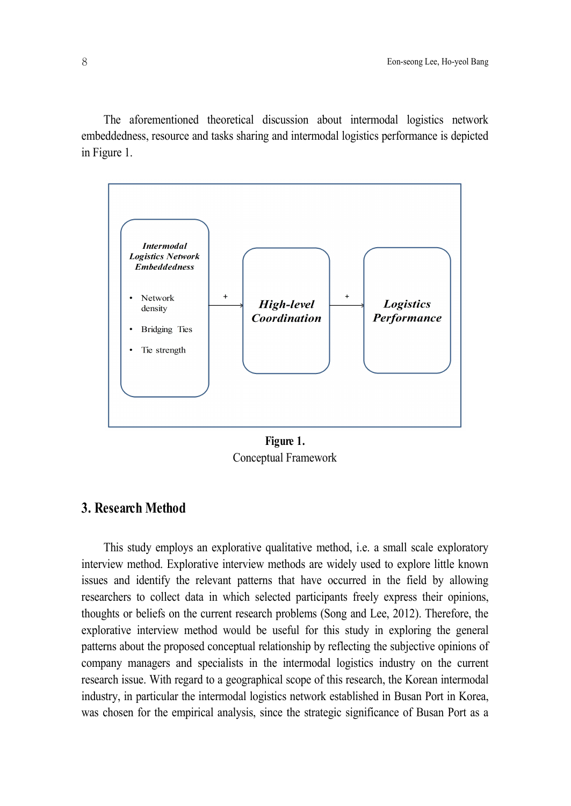The aforementioned theoretical discussion about intermodal logistics network embeddedness, resource and tasks sharing and intermodal logistics performance is depicted in Figure 1.



**Figure 1.** Conceptual Framework

# **3. Research Method**

This study employs an explorative qualitative method, i.e. a small scale exploratory interview method. Explorative interview methods are widely used to explore little known issues and identify the relevant patterns that have occurred in the field by allowing researchers to collect data in which selected participants freely express their opinions, thoughts or beliefs on the current research problems (Song and Lee, 2012). Therefore, the explorative interview method would be useful for this study in exploring the general patterns about the proposed conceptual relationship by reflecting the subjective opinions of company managers and specialists in the intermodal logistics industry on the current research issue. With regard to a geographical scope of this research, the Korean intermodal industry, in particular the intermodal logistics network established in Busan Port in Korea, was chosen for the empirical analysis, since the strategic significance of Busan Port as a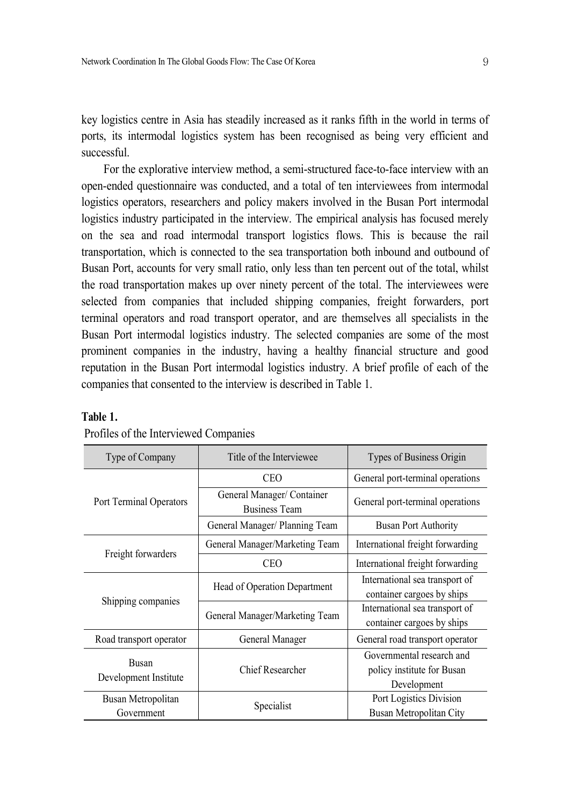key logistics centre in Asia has steadily increased as it ranks fifth in the world in terms of ports, its intermodal logistics system has been recognised as being very efficient and successful.

For the explorative interview method, a semi-structured face-to-face interview with an open-ended questionnaire was conducted, and a total of ten interviewees from intermodal logistics operators, researchers and policy makers involved in the Busan Port intermodal logistics industry participated in the interview. The empirical analysis has focused merely on the sea and road intermodal transport logistics flows. This is because the rail transportation, which is connected to the sea transportation both inbound and outbound of Busan Port, accounts for very small ratio, only less than ten percent out of the total, whilst the road transportation makes up over ninety percent of the total. The interviewees were selected from companies that included shipping companies, freight forwarders, port terminal operators and road transport operator, and are themselves all specialists in the Busan Port intermodal logistics industry. The selected companies are some of the most prominent companies in the industry, having a healthy financial structure and good reputation in the Busan Port intermodal logistics industry. A brief profile of each of the companies that consented to the interview is described in Table 1.

| Type of Company                       | Title of the Interviewee                           | Types of Business Origin         |  |
|---------------------------------------|----------------------------------------------------|----------------------------------|--|
| Port Terminal Operators               | <b>CEO</b>                                         | General port-terminal operations |  |
|                                       | General Manager/ Container<br><b>Business Team</b> | General port-terminal operations |  |
|                                       | General Manager/ Planning Team                     | <b>Busan Port Authority</b>      |  |
| Freight forwarders                    | General Manager/Marketing Team                     | International freight forwarding |  |
|                                       | <b>CEO</b>                                         | International freight forwarding |  |
| Shipping companies                    | Head of Operation Department                       | International sea transport of   |  |
|                                       |                                                    | container cargoes by ships       |  |
|                                       | General Manager/Marketing Team                     | International sea transport of   |  |
|                                       |                                                    | container cargoes by ships       |  |
| Road transport operator               | General Manager                                    | General road transport operator  |  |
| <b>Busan</b><br>Development Institute | <b>Chief Researcher</b>                            | Governmental research and        |  |
|                                       |                                                    | policy institute for Busan       |  |
|                                       |                                                    | Development                      |  |
| Busan Metropolitan                    |                                                    | Port Logistics Division          |  |
| Government                            | Specialist                                         | Busan Metropolitan City          |  |

#### **Table 1.**

|  |  | Profiles of the Interviewed Companies |  |  |
|--|--|---------------------------------------|--|--|
|--|--|---------------------------------------|--|--|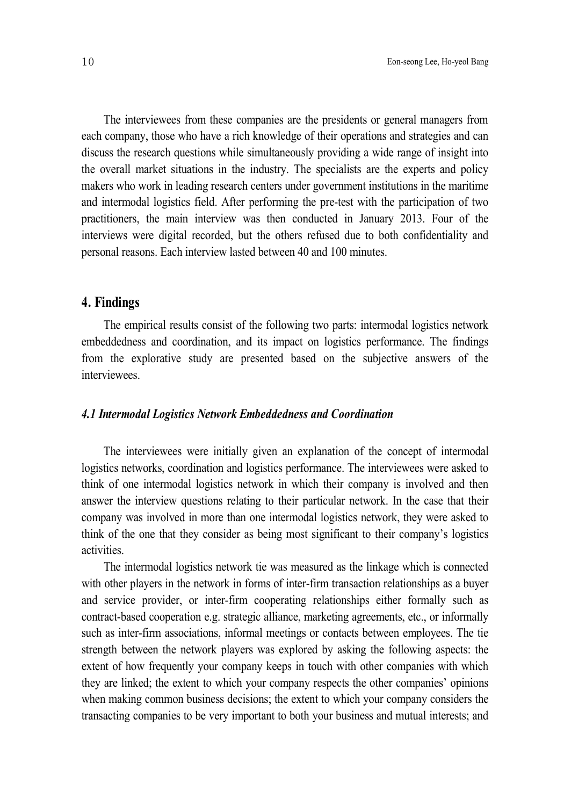The interviewees from these companies are the presidents or general managers from each company, those who have a rich knowledge of their operations and strategies and can discuss the research questions while simultaneously providing a wide range of insight into the overall market situations in the industry. The specialists are the experts and policy makers who work in leading research centers under government institutions in the maritime and intermodal logistics field. After performing the pre-test with the participation of two practitioners, the main interview was then conducted in January 2013. Four of the interviews were digital recorded, but the others refused due to both confidentiality and personal reasons. Each interview lasted between 40 and 100 minutes.

## **4. Findings**

The empirical results consist of the following two parts: intermodal logistics network embeddedness and coordination, and its impact on logistics performance. The findings from the explorative study are presented based on the subjective answers of the interviewees.

## *4.1 Intermodal Logistics Network Embeddedness and Coordination*

The interviewees were initially given an explanation of the concept of intermodal logistics networks, coordination and logistics performance. The interviewees were asked to think of one intermodal logistics network in which their company is involved and then answer the interview questions relating to their particular network. In the case that their company was involved in more than one intermodal logistics network, they were asked to think of the one that they consider as being most significant to their company's logistics activities.

The intermodal logistics network tie was measured as the linkage which is connected with other players in the network in forms of inter-firm transaction relationships as a buyer and service provider, or inter-firm cooperating relationships either formally such as contract-based cooperation e.g. strategic alliance, marketing agreements, etc., or informally such as inter-firm associations, informal meetings or contacts between employees. The tie strength between the network players was explored by asking the following aspects: the extent of how frequently your company keeps in touch with other companies with which they are linked; the extent to which your company respects the other companies' opinions when making common business decisions; the extent to which your company considers the transacting companies to be very important to both your business and mutual interests; and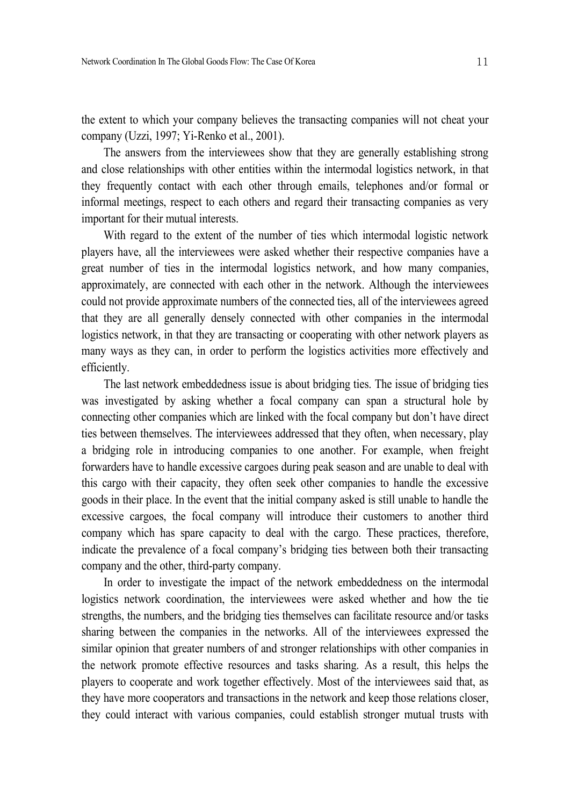the extent to which your company believes the transacting companies will not cheat your company (Uzzi, 1997; Yi-Renko et al., 2001).

The answers from the interviewees show that they are generally establishing strong and close relationships with other entities within the intermodal logistics network, in that they frequently contact with each other through emails, telephones and/or formal or informal meetings, respect to each others and regard their transacting companies as very important for their mutual interests.

With regard to the extent of the number of ties which intermodal logistic network players have, all the interviewees were asked whether their respective companies have a great number of ties in the intermodal logistics network, and how many companies, approximately, are connected with each other in the network. Although the interviewees could not provide approximate numbers of the connected ties, all of the interviewees agreed that they are all generally densely connected with other companies in the intermodal logistics network, in that they are transacting or cooperating with other network players as many ways as they can, in order to perform the logistics activities more effectively and efficiently.

The last network embeddedness issue is about bridging ties. The issue of bridging ties was investigated by asking whether a focal company can span a structural hole by connecting other companies which are linked with the focal company but don't have direct ties between themselves. The interviewees addressed that they often, when necessary, play a bridging role in introducing companies to one another. For example, when freight forwarders have to handle excessive cargoes during peak season and are unable to deal with this cargo with their capacity, they often seek other companies to handle the excessive goods in their place. In the event that the initial company asked is still unable to handle the excessive cargoes, the focal company will introduce their customers to another third company which has spare capacity to deal with the cargo. These practices, therefore, indicate the prevalence of a focal company's bridging ties between both their transacting company and the other, third-party company.

In order to investigate the impact of the network embeddedness on the intermodal logistics network coordination, the interviewees were asked whether and how the tie strengths, the numbers, and the bridging ties themselves can facilitate resource and/or tasks sharing between the companies in the networks. All of the interviewees expressed the similar opinion that greater numbers of and stronger relationships with other companies in the network promote effective resources and tasks sharing. As a result, this helps the players to cooperate and work together effectively. Most of the interviewees said that, as they have more cooperators and transactions in the network and keep those relations closer, they could interact with various companies, could establish stronger mutual trusts with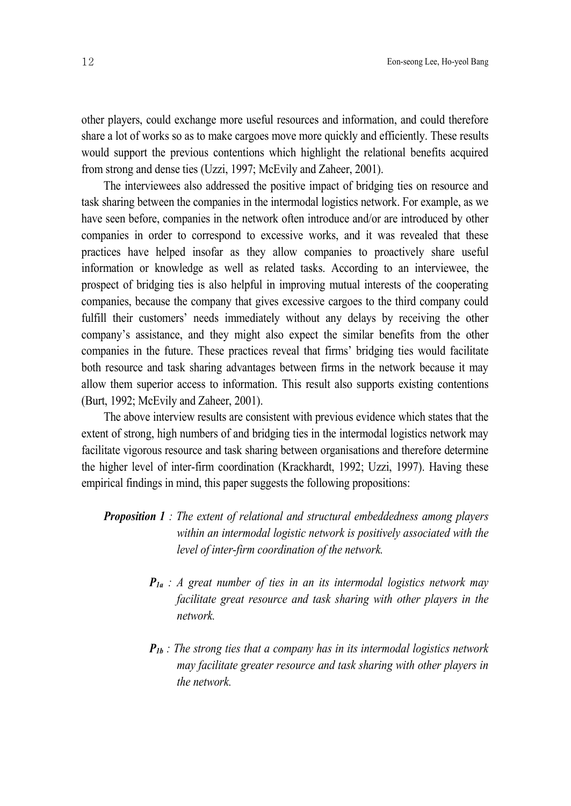other players, could exchange more useful resources and information, and could therefore share a lot of works so as to make cargoes move more quickly and efficiently. These results would support the previous contentions which highlight the relational benefits acquired from strong and dense ties (Uzzi, 1997; McEvily and Zaheer, 2001).

The interviewees also addressed the positive impact of bridging ties on resource and task sharing between the companies in the intermodal logistics network. For example, as we have seen before, companies in the network often introduce and/or are introduced by other companies in order to correspond to excessive works, and it was revealed that these practices have helped insofar as they allow companies to proactively share useful information or knowledge as well as related tasks. According to an interviewee, the prospect of bridging ties is also helpful in improving mutual interests of the cooperating companies, because the company that gives excessive cargoes to the third company could fulfill their customers' needs immediately without any delays by receiving the other company's assistance, and they might also expect the similar benefits from the other companies in the future. These practices reveal that firms' bridging ties would facilitate both resource and task sharing advantages between firms in the network because it may allow them superior access to information. This result also supports existing contentions (Burt, 1992; McEvily and Zaheer, 2001).

The above interview results are consistent with previous evidence which states that the extent of strong, high numbers of and bridging ties in the intermodal logistics network may facilitate vigorous resource and task sharing between organisations and therefore determine the higher level of inter-firm coordination (Krackhardt, 1992; Uzzi, 1997). Having these empirical findings in mind, this paper suggests the following propositions:

- *Proposition 1 : The extent of relational and structural embeddedness among players within an intermodal logistic network is positively associated with the level of inter-firm coordination of the network.*
	- *P1a : A great number of ties in an its intermodal logistics network may facilitate great resource and task sharing with other players in the network.*
	- *P1b : The strong ties that a company has in its intermodal logistics network may facilitate greater resource and task sharing with other players in the network.*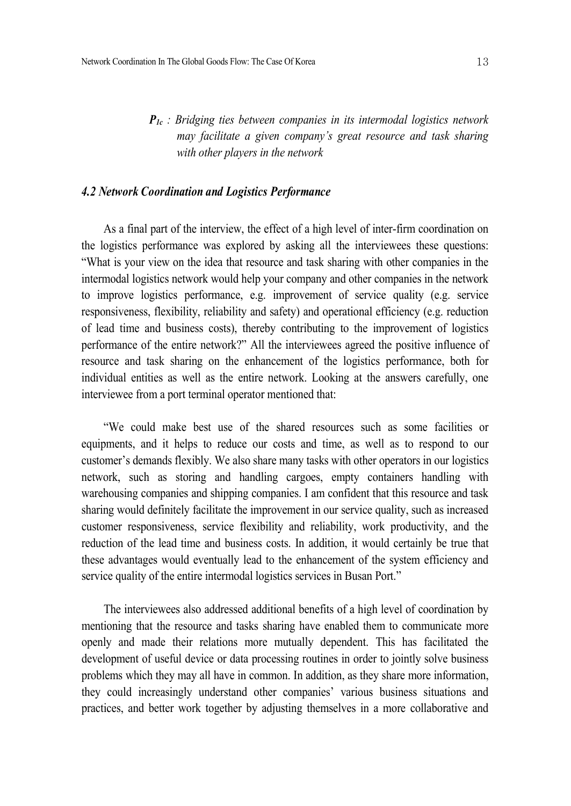*P1c : Bridging ties between companies in its intermodal logistics network may facilitate a given company's great resource and task sharing with other players in the network*

## *4.2 Network Coordination and Logistics Performance*

As a final part of the interview, the effect of a high level of inter-firm coordination on the logistics performance was explored by asking all the interviewees these questions: "What is your view on the idea that resource and task sharing with other companies in the intermodal logistics network would help your company and other companies in the network to improve logistics performance, e.g. improvement of service quality (e.g. service responsiveness, flexibility, reliability and safety) and operational efficiency (e.g. reduction of lead time and business costs), thereby contributing to the improvement of logistics performance of the entire network?" All the interviewees agreed the positive influence of resource and task sharing on the enhancement of the logistics performance, both for individual entities as well as the entire network. Looking at the answers carefully, one interviewee from a port terminal operator mentioned that:

"We could make best use of the shared resources such as some facilities or equipments, and it helps to reduce our costs and time, as well as to respond to our customer's demands flexibly. We also share many tasks with other operators in our logistics network, such as storing and handling cargoes, empty containers handling with warehousing companies and shipping companies. I am confident that this resource and task sharing would definitely facilitate the improvement in our service quality, such as increased customer responsiveness, service flexibility and reliability, work productivity, and the reduction of the lead time and business costs. In addition, it would certainly be true that these advantages would eventually lead to the enhancement of the system efficiency and service quality of the entire intermodal logistics services in Busan Port."

The interviewees also addressed additional benefits of a high level of coordination by mentioning that the resource and tasks sharing have enabled them to communicate more openly and made their relations more mutually dependent. This has facilitated the development of useful device or data processing routines in order to jointly solve business problems which they may all have in common. In addition, as they share more information, they could increasingly understand other companies' various business situations and practices, and better work together by adjusting themselves in a more collaborative and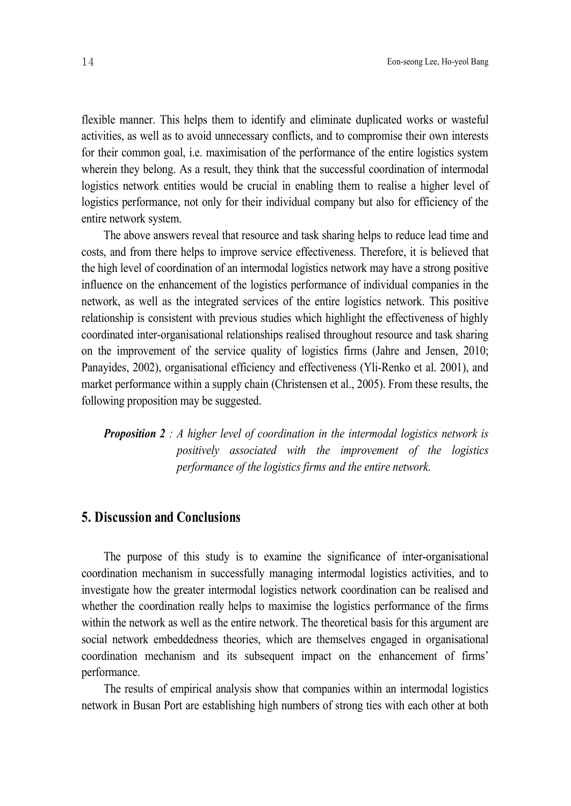flexible manner. This helps them to identify and eliminate duplicated works or wasteful activities, as well as to avoid unnecessary conflicts, and to compromise their own interests for their common goal, i.e. maximisation of the performance of the entire logistics system wherein they belong. As a result, they think that the successful coordination of intermodal logistics network entities would be crucial in enabling them to realise a higher level of logistics performance, not only for their individual company but also for efficiency of the entire network system.

The above answers reveal that resource and task sharing helps to reduce lead time and costs, and from there helps to improve service effectiveness. Therefore, it is believed that the high level of coordination of an intermodal logistics network may have a strong positive influence on the enhancement of the logistics performance of individual companies in the network, as well as the integrated services of the entire logistics network. This positive relationship is consistent with previous studies which highlight the effectiveness of highly coordinated inter-organisational relationships realised throughout resource and task sharing on the improvement of the service quality of logistics firms (Jahre and Jensen, 2010; Panayides, 2002), organisational efficiency and effectiveness (Yli-Renko et al. 2001), and market performance within a supply chain (Christensen et al., 2005). From these results, the following proposition may be suggested.

*Proposition 2 : A higher level of coordination in the intermodal logistics network is positively associated with the improvement of the logistics performance of the logistics firms and the entire network.*

## **5. Discussion and Conclusions**

The purpose of this study is to examine the significance of inter-organisational coordination mechanism in successfully managing intermodal logistics activities, and to investigate how the greater intermodal logistics network coordination can be realised and whether the coordination really helps to maximise the logistics performance of the firms within the network as well as the entire network. The theoretical basis for this argument are social network embeddedness theories, which are themselves engaged in organisational coordination mechanism and its subsequent impact on the enhancement of firms' performance.

The results of empirical analysis show that companies within an intermodal logistics network in Busan Port are establishing high numbers of strong ties with each other at both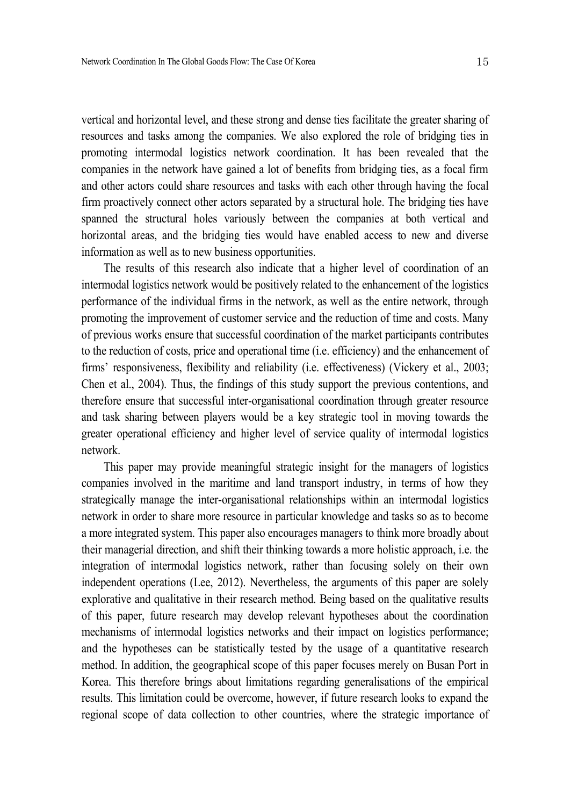vertical and horizontal level, and these strong and dense ties facilitate the greater sharing of resources and tasks among the companies. We also explored the role of bridging ties in promoting intermodal logistics network coordination. It has been revealed that the companies in the network have gained a lot of benefits from bridging ties, as a focal firm and other actors could share resources and tasks with each other through having the focal firm proactively connect other actors separated by a structural hole. The bridging ties have spanned the structural holes variously between the companies at both vertical and horizontal areas, and the bridging ties would have enabled access to new and diverse information as well as to new business opportunities.

The results of this research also indicate that a higher level of coordination of an intermodal logistics network would be positively related to the enhancement of the logistics performance of the individual firms in the network, as well as the entire network, through promoting the improvement of customer service and the reduction of time and costs. Many of previous works ensure that successful coordination of the market participants contributes to the reduction of costs, price and operational time (i.e. efficiency) and the enhancement of firms' responsiveness, flexibility and reliability (i.e. effectiveness) (Vickery et al., 2003; Chen et al., 2004). Thus, the findings of this study support the previous contentions, and therefore ensure that successful inter-organisational coordination through greater resource and task sharing between players would be a key strategic tool in moving towards the greater operational efficiency and higher level of service quality of intermodal logistics network.

This paper may provide meaningful strategic insight for the managers of logistics companies involved in the maritime and land transport industry, in terms of how they strategically manage the inter-organisational relationships within an intermodal logistics network in order to share more resource in particular knowledge and tasks so as to become a more integrated system. This paper also encourages managers to think more broadly about their managerial direction, and shift their thinking towards a more holistic approach, i.e. the integration of intermodal logistics network, rather than focusing solely on their own independent operations (Lee, 2012). Nevertheless, the arguments of this paper are solely explorative and qualitative in their research method. Being based on the qualitative results of this paper, future research may develop relevant hypotheses about the coordination mechanisms of intermodal logistics networks and their impact on logistics performance; and the hypotheses can be statistically tested by the usage of a quantitative research method. In addition, the geographical scope of this paper focuses merely on Busan Port in Korea. This therefore brings about limitations regarding generalisations of the empirical results. This limitation could be overcome, however, if future research looks to expand the regional scope of data collection to other countries, where the strategic importance of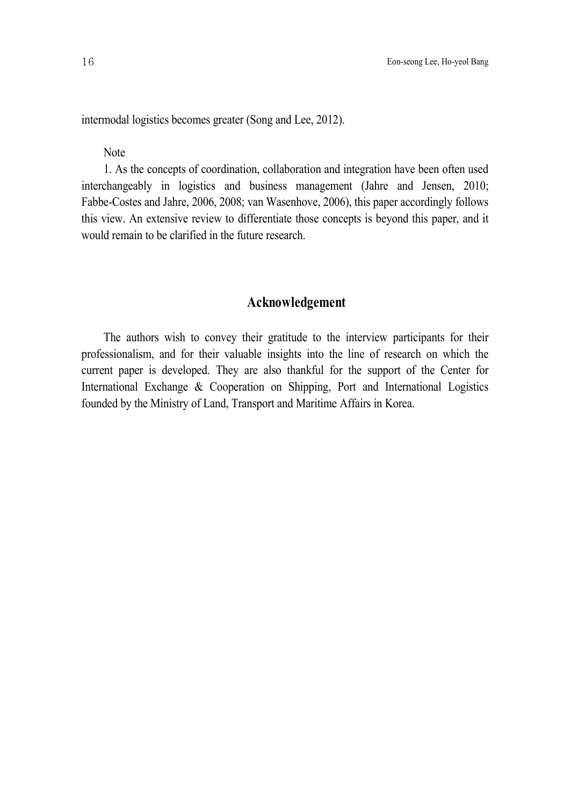intermodal logistics becomes greater (Song and Lee, 2012).

**Note** 

1. As the concepts of coordination, collaboration and integration have been often used interchangeably in logistics and business management (Jahre and Jensen, 2010; Fabbe-Costes and Jahre, 2006, 2008; van Wasenhove, 2006), this paper accordingly follows this view. An extensive review to differentiate those concepts is beyond this paper, and it would remain to be clarified in the future research.

# **Acknowledgement**

The authors wish to convey their gratitude to the interview participants for their professionalism, and for their valuable insights into the line of research on which the current paper is developed. They are also thankful for the support of the Center for International Exchange & Cooperation on Shipping, Port and International Logistics founded by the Ministry of Land, Transport and Maritime Affairs in Korea.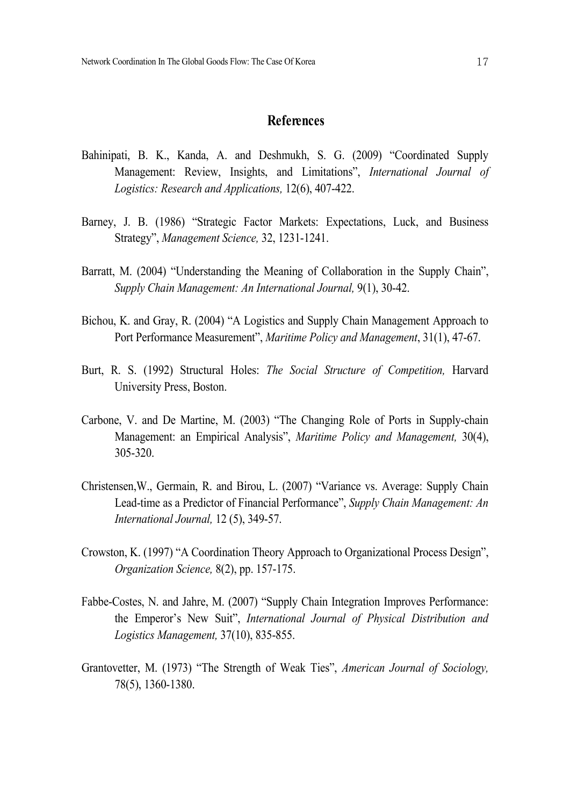# **References**

- Bahinipati, B. K., Kanda, A. and Deshmukh, S. G. (2009) "Coordinated Supply Management: Review, Insights, and Limitations", *International Journal of Logistics: Research and Applications,* 12(6), 407-422.
- Barney, J. B. (1986) "Strategic Factor Markets: Expectations, Luck, and Business Strategy", *Management Science,* 32, 1231-1241.
- Barratt, M. (2004) "Understanding the Meaning of Collaboration in the Supply Chain", *Supply Chain Management: An International Journal,* 9(1), 30-42.
- Bichou, K. and Gray, R. (2004) "A Logistics and Supply Chain Management Approach to Port Performance Measurement", *Maritime Policy and Management*, 31(1), 47-67.
- Burt, R. S. (1992) Structural Holes: *The Social Structure of Competition,* Harvard University Press, Boston.
- Carbone, V. and De Martine, M. (2003) "The Changing Role of Ports in Supply-chain Management: an Empirical Analysis", *Maritime Policy and Management,* 30(4), 305-320.
- Christensen,W., Germain, R. and Birou, L. (2007) "Variance vs. Average: Supply Chain Lead-time as a Predictor of Financial Performance", *Supply Chain Management: An International Journal,* 12 (5), 349-57.
- Crowston, K. (1997) "A Coordination Theory Approach to Organizational Process Design", *Organization Science,* 8(2), pp. 157-175.
- Fabbe-Costes, N. and Jahre, M. (2007) "Supply Chain Integration Improves Performance: the Emperor's New Suit", *International Journal of Physical Distribution and Logistics Management,* 37(10), 835-855.
- Grantovetter, M. (1973) "The Strength of Weak Ties", *American Journal of Sociology,* 78(5), 1360-1380.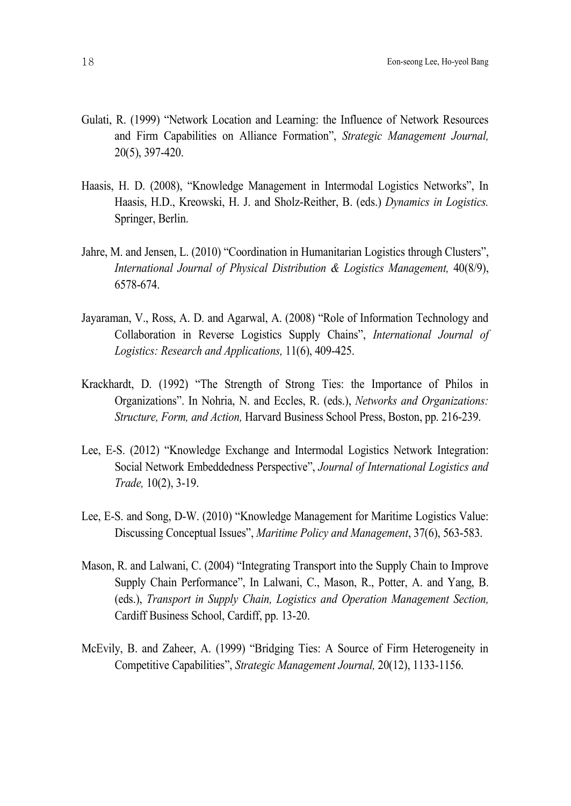- Gulati, R. (1999) "Network Location and Learning: the Influence of Network Resources and Firm Capabilities on Alliance Formation", *Strategic Management Journal,* 20(5), 397-420.
- Haasis, H. D. (2008), "Knowledge Management in Intermodal Logistics Networks", In Haasis, H.D., Kreowski, H. J. and Sholz-Reither, B. (eds.) *Dynamics in Logistics.* Springer, Berlin.
- Jahre, M. and Jensen, L. (2010) "Coordination in Humanitarian Logistics through Clusters", *International Journal of Physical Distribution & Logistics Management,* 40(8/9), 6578-674.
- Jayaraman, V., Ross, A. D. and Agarwal, A. (2008) "Role of Information Technology and Collaboration in Reverse Logistics Supply Chains", *International Journal of Logistics: Research and Applications,* 11(6), 409-425.
- Krackhardt, D. (1992) "The Strength of Strong Ties: the Importance of Philos in Organizations". In Nohria, N. and Eccles, R. (eds.), *Networks and Organizations: Structure, Form, and Action,* Harvard Business School Press, Boston, pp. 216-239.
- Lee, E-S. (2012) "Knowledge Exchange and Intermodal Logistics Network Integration: Social Network Embeddedness Perspective", *Journal of International Logistics and Trade,* 10(2), 3-19.
- Lee, E-S. and Song, D-W. (2010) "Knowledge Management for Maritime Logistics Value: Discussing Conceptual Issues", *Maritime Policy and Management*, 37(6), 563-583.
- Mason, R. and Lalwani, C. (2004) "Integrating Transport into the Supply Chain to Improve Supply Chain Performance", In Lalwani, C., Mason, R., Potter, A. and Yang, B. (eds.), *Transport in Supply Chain, Logistics and Operation Management Section,* Cardiff Business School, Cardiff, pp. 13-20.
- McEvily, B. and Zaheer, A. (1999) "Bridging Ties: A Source of Firm Heterogeneity in Competitive Capabilities", *Strategic Management Journal,* 20(12), 1133-1156.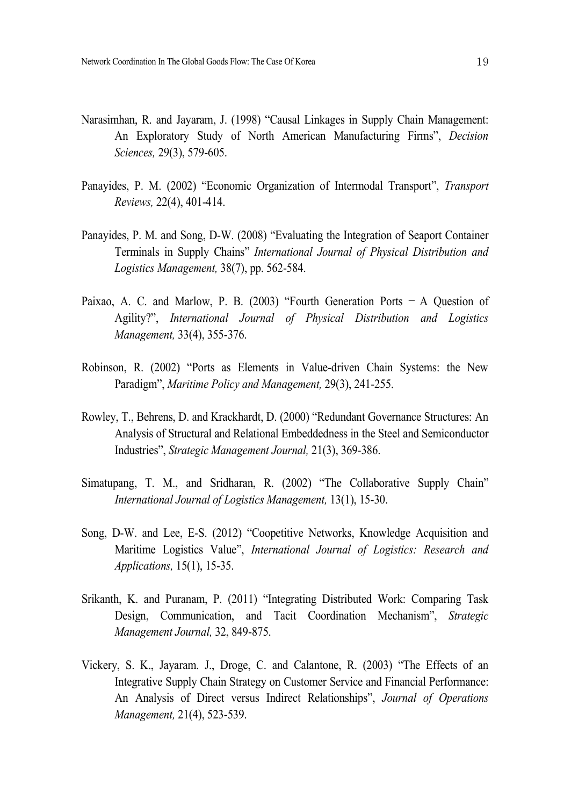- Narasimhan, R. and Jayaram, J. (1998) "Causal Linkages in Supply Chain Management: An Exploratory Study of North American Manufacturing Firms", *Decision Sciences,* 29(3), 579-605.
- Panayides, P. M. (2002) "Economic Organization of Intermodal Transport", *Transport Reviews,* 22(4), 401-414.
- Panayides, P. M. and Song, D-W. (2008) "Evaluating the Integration of Seaport Container Terminals in Supply Chains" *International Journal of Physical Distribution and Logistics Management,* 38(7), pp. 562-584.
- Paixao, A. C. and Marlow, P. B. (2003) "Fourth Generation Ports  $A$  Question of Agility?", *International Journal of Physical Distribution and Logistics Management,* 33(4), 355-376.
- Robinson, R. (2002) "Ports as Elements in Value-driven Chain Systems: the New Paradigm", *Maritime Policy and Management,* 29(3), 241-255.
- Rowley, T., Behrens, D. and Krackhardt, D. (2000) "Redundant Governance Structures: An Analysis of Structural and Relational Embeddedness in the Steel and Semiconductor Industries", *Strategic Management Journal,* 21(3), 369-386.
- Simatupang, T. M., and Sridharan, R. (2002) "The Collaborative Supply Chain" *International Journal of Logistics Management,* 13(1), 15-30.
- Song, D-W. and Lee, E-S. (2012) "Coopetitive Networks, Knowledge Acquisition and Maritime Logistics Value", *International Journal of Logistics: Research and Applications,* 15(1), 15-35.
- Srikanth, K. and Puranam, P. (2011) "Integrating Distributed Work: Comparing Task Design, Communication, and Tacit Coordination Mechanism", *Strategic Management Journal,* 32, 849-875.
- Vickery, S. K., Jayaram. J., Droge, C. and Calantone, R. (2003) "The Effects of an Integrative Supply Chain Strategy on Customer Service and Financial Performance: An Analysis of Direct versus Indirect Relationships", *Journal of Operations Management,* 21(4), 523-539.